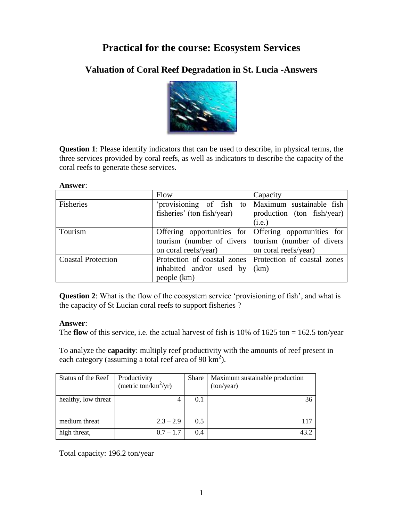# **Practical for the course: Ecosystem Services**

## **Valuation of Coral Reef Degradation in St. Lucia -Answers**



**Question 1**: Please identify indicators that can be used to describe, in physical terms, the three services provided by coral reefs, as well as indicators to describe the capacity of the coral reefs to generate these services.

#### **Answer**:

|                           | Flow                                         | Capacity                                                  |  |  |
|---------------------------|----------------------------------------------|-----------------------------------------------------------|--|--|
| Fisheries                 |                                              | provisioning of fish to Maximum sustainable fish          |  |  |
|                           | fisheries' (ton fish/year)                   | production (ton fish/year)                                |  |  |
|                           |                                              | (i.e.)                                                    |  |  |
| Tourism                   |                                              | Offering opportunities for Offering opportunities for     |  |  |
|                           |                                              | tourism (number of divers   tourism (number of divers     |  |  |
|                           | on coral reefs/year)<br>on coral reefs/year) |                                                           |  |  |
| <b>Coastal Protection</b> |                                              | Protection of coastal zones   Protection of coastal zones |  |  |
|                           | inhabited and/or used by                     | (km)                                                      |  |  |
|                           | people (km)                                  |                                                           |  |  |

**Question 2**: What is the flow of the ecosystem service 'provisioning of fish', and what is the capacity of St Lucian coral reefs to support fisheries ?

### **Answer**:

The **flow** of this service, i.e. the actual harvest of fish is  $10\%$  of  $1625$  ton =  $162.5$  ton/year

To analyze the **capacity**: multiply reef productivity with the amounts of reef present in each category (assuming a total reef area of  $90 \text{ km}^2$ ).

| Status of the Reef  | Productivity             | Share | Maximum sustainable production |
|---------------------|--------------------------|-------|--------------------------------|
|                     | (metric ton/ $km^2/yr$ ) |       | (ton/year)                     |
| healthy, low threat |                          | 0.1   | 36                             |
|                     |                          |       |                                |
| medium threat       | $2.3 - 2.9$              | 0.5   | 117                            |
| high threat,        | $0.7 - 1.7$              | 0.4   | 43.2                           |

Total capacity: 196.2 ton/year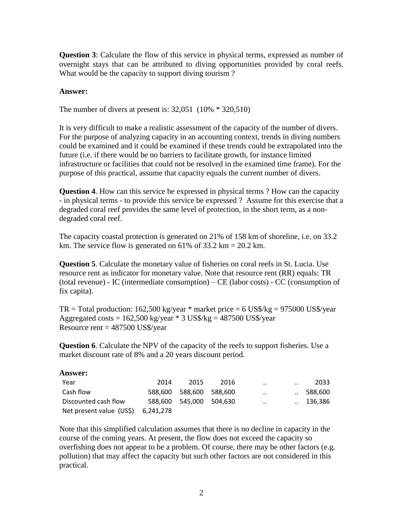**Question 3**: Calculate the flow of this service in physical terms, expressed as number of overnight stays that can be attributed to diving opportunities provided by coral reefs. What would be the capacity to support diving tourism?

#### **Answer:**

The number of divers at present is: 32,051 (10% \* 320,510)

It is very difficult to make a realistic assessment of the capacity of the number of divers. For the purpose of analyzing capacity in an accounting context, trends in diving numbers could be examined and it could be examined if these trends could be extrapolated into the future (i.e. if there would be no barriers to facilitate growth, for instance limited infrastructure or facilities that could not be resolved in the examined time frame). For the purpose of this practical, assume that capacity equals the current number of divers.

**Question 4**. How can this service be expressed in physical terms ? How can the capacity - in physical terms - to provide this service be expressed ? Assume for this exercise that a degraded coral reef provides the same level of protection, in the short term, as a nondegraded coral reef.

The capacity coastal protection is generated on 21% of 158 km of shoreline, i.e. on 33.2 km. The service flow is generated on 61% of  $33.2 \text{ km} = 20.2 \text{ km}$ .

**Question 5**. Calculate the monetary value of fisheries on coral reefs in St. Lucia. Use resource rent as indicator for monetary value. Note that resource rent (RR) equals: TR (total revenue) - IC (intermediate consumption) – CE (labor costs) - CC (consumption of fix capita).

 $TR = Total production: 162,500 kg/year * market price = 6 US$/kg = 975000 US$/year$ Aggregated costs =  $162,500$  kg/year  $*$  3 US\$/kg =  $487500$  US\$/year Resource rent  $= 487500$  US\$/year

**Question 6**. Calculate the NPV of the capacity of the reefs to support fisheries. Use a market discount rate of 8% and a 20 years discount period.

| <b>Answer:</b>           |           |                 |      |              |                      |         |
|--------------------------|-----------|-----------------|------|--------------|----------------------|---------|
| Year                     | 2014      | 2015            | 2016 | $\cdot\cdot$ | $\ddot{\phantom{a}}$ | 2033    |
| Cash flow                | 588.600   | 588.600 588.600 |      | $\cdot\cdot$ |                      | 588.600 |
| Discounted cash flow     | 588.600   | 545.000 504.630 |      | $\cdot$ .    |                      | 136.386 |
| Net present value (US\$) | 6,241,278 |                 |      |              |                      |         |

Note that this simplified calculation assumes that there is no decline in capacity in the course of the coming years. At present, the flow does not exceed the capacity so overfishing does not appear to be a problem. Of course, there may be other factors (e.g. pollution) that may affect the capacity but such other factors are not considered in this practical.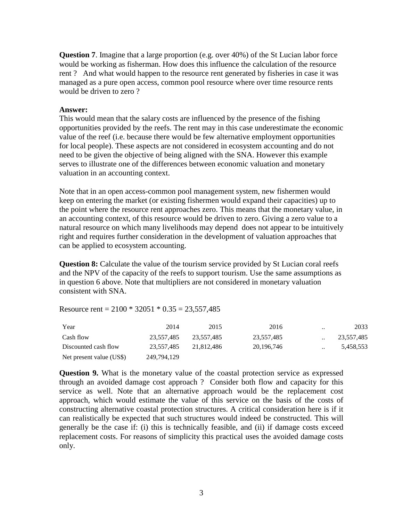**Question 7.** Imagine that a large proportion (e.g. over 40%) of the St Lucian labor force would be working as fisherman. How does this influence the calculation of the resource rent ? And what would happen to the resource rent generated by fisheries in case it was managed as a pure open access, common pool resource where over time resource rents would be driven to zero ?

#### **Answer:**

This would mean that the salary costs are influenced by the presence of the fishing opportunities provided by the reefs. The rent may in this case underestimate the economic value of the reef (i.e. because there would be few alternative employment opportunities for local people). These aspects are not considered in ecosystem accounting and do not need to be given the objective of being aligned with the SNA. However this example serves to illustrate one of the differences between economic valuation and monetary valuation in an accounting context.

Note that in an open access-common pool management system, new fishermen would keep on entering the market (or existing fishermen would expand their capacities) up to the point where the resource rent approaches zero. This means that the monetary value, in an accounting context, of this resource would be driven to zero. Giving a zero value to a natural resource on which many livelihoods may depend does not appear to be intuitively right and requires further consideration in the development of valuation approaches that can be applied to ecosystem accounting.

**Question 8:** Calculate the value of the tourism service provided by St Lucian coral reefs and the NPV of the capacity of the reefs to support tourism. Use the same assumptions as in question 6 above. Note that multipliers are not considered in monetary valuation consistent with SNA.

Resource rent =  $2100 * 32051 * 0.35 = 23,557,485$ 

| Year                     | 2014        | 2015       | 2016         | $\cdot \cdot$ | 2033       |
|--------------------------|-------------|------------|--------------|---------------|------------|
| Cash flow                | 23.557.485  | 23.557.485 | 23,557,485   | $\cdot$ .     | 23,557,485 |
| Discounted cash flow     | 23.557.485  | 21.812.486 | 20, 196, 746 | $\ddotsc$     | 5,458,553  |
| Net present value (US\$) | 249,794,129 |            |              |               |            |

**Question 9.** What is the monetary value of the coastal protection service as expressed through an avoided damage cost approach ? Consider both flow and capacity for this service as well. Note that an alternative approach would be the replacement cost approach, which would estimate the value of this service on the basis of the costs of constructing alternative coastal protection structures. A critical consideration here is if it can realistically be expected that such structures would indeed be constructed. This will generally be the case if: (i) this is technically feasible, and (ii) if damage costs exceed replacement costs. For reasons of simplicity this practical uses the avoided damage costs only.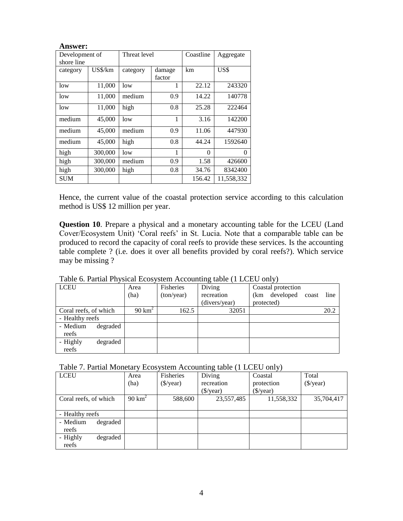| <b>Answer:</b> |         |          |                  |          |            |
|----------------|---------|----------|------------------|----------|------------|
| Development of |         |          | Threat level     |          | Aggregate  |
| shore line     |         |          |                  |          |            |
| category       | US\$/km | category | damage<br>factor | km       | US\$       |
| low            | 11,000  | low      |                  | 22.12    | 243320     |
| low            | 11,000  | medium   | 0.9              | 14.22    | 140778     |
| low            | 11,000  | high     | 0.8              | 25.28    | 222464     |
| medium         | 45,000  | low      | 1                | 3.16     | 142200     |
| medium         | 45,000  | medium   | 0.9              | 11.06    | 447930     |
| medium         | 45,000  | high     | 0.8              | 44.24    | 1592640    |
| high           | 300,000 | low      | 1                | $\Omega$ | $\Omega$   |
| high           | 300,000 | medium   | 0.9              | 1.58     | 426600     |
| high           | 300,000 | high     | 0.8              | 34.76    | 8342400    |
| <b>SUM</b>     |         |          |                  | 156.42   | 11,558,332 |

Hence, the current value of the coastal protection service according to this calculation method is US\$ 12 million per year.

**Question 10**. Prepare a physical and a monetary accounting table for the LCEU (Land Cover/Ecosystem Unit) 'Coral reefs' in St. Lucia. Note that a comparable table can be produced to record the capacity of coral reefs to provide these services. Is the accounting table complete ? (i.e. does it over all benefits provided by coral reefs?). Which service may be missing ?

| <b>LCEU</b>           | Area              | Fisheries  | Diving        | Coastal protection     |      |
|-----------------------|-------------------|------------|---------------|------------------------|------|
|                       | (ha)              | (ton/year) | recreation    | (km developed<br>coast | line |
|                       |                   |            | (divers/year) | protected)             |      |
| Coral reefs, of which | $90 \text{ km}^2$ | 162.5      | 32051         |                        | 20.2 |
| - Healthy reefs       |                   |            |               |                        |      |
| - Medium<br>degraded  |                   |            |               |                        |      |
| reefs                 |                   |            |               |                        |      |
| - Highly<br>degraded  |                   |            |               |                        |      |
| reefs                 |                   |            |               |                        |      |

Table 6. Partial Physical Ecosystem Accounting table (1 LCEU only)

| Table 7. Partial Monetary Ecosystem Accounting table (1 LCEU only) |  |  |  |  |
|--------------------------------------------------------------------|--|--|--|--|
|--------------------------------------------------------------------|--|--|--|--|

| <b>LCEU</b>           | Area              | Fisheries         | Diving                 | Coastal                | Total                  |
|-----------------------|-------------------|-------------------|------------------------|------------------------|------------------------|
|                       | (ha)              | ( <i>§</i> /year) | recreation             | protection             | $(\frac{\sqrt{3}}{2})$ |
|                       |                   |                   | $(\frac{\sqrt{2}}{2})$ | $(\frac{\sqrt{2}}{2})$ |                        |
| Coral reefs, of which | $90 \text{ km}^2$ | 588,600           | 23,557,485             | 11,558,332             | 35,704,417             |
|                       |                   |                   |                        |                        |                        |
| - Healthy reefs       |                   |                   |                        |                        |                        |
| - Medium<br>degraded  |                   |                   |                        |                        |                        |
| reefs                 |                   |                   |                        |                        |                        |
| - Highly<br>degraded  |                   |                   |                        |                        |                        |
| reefs                 |                   |                   |                        |                        |                        |